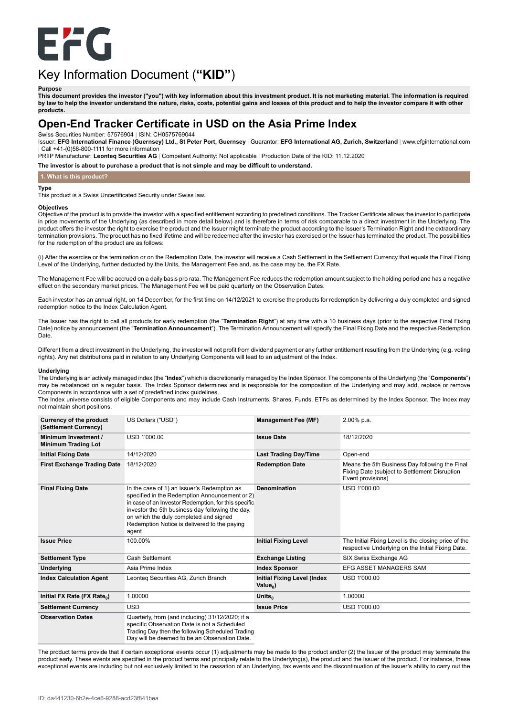

# Key Information Document (**"KID"**)

#### **Purpose**

This document provides the investor ("you") with key information about this investment product. It is not marketing material. The information is required by law to help the investor understand the nature, risks, costs, potential gains and losses of this product and to help the investor compare it with other **products.**

# **Open-End Tracker Certificate in USD on the Asia Prime Index**

Swiss Securities Number: 57576904 | ISIN: CH0575769044

Issuer: EFG International Finance (Guernsey) Ltd., St Peter Port, Guernsey | Guarantor: EFG International AG, Zurich, Switzerland | www.efginternational.com | Call +41-(0)58-800-1111 for more information

PRIIP Manufacturer: **Leonteq Securities AG** | Competent Authority: Not applicable | Production Date of the KID: 11.12.2020

**The investor is about to purchase a product that is not simple and may be difficult to understand.**

# **1. What is this product?**

#### **Type**

This product is a Swiss Uncertificated Security under Swiss law.

#### **Objectives**

Objective of the product is to provide the investor with a specified entitlement according to predefined conditions. The Tracker Certificate allows the investor to participate in price movements of the Underlying (as described in more detail below) and is therefore in terms of risk comparable to a direct investment in the Underlying. The product offers the investor the right to exercise the product and the Issuer might terminate the product according to the Issuer's Termination Right and the extraordinary termination provisions. The product has no fixed lifetime and will be redeemed after the investor has exercised or the Issuer has terminated the product. The possibilities for the redemption of the product are as follows:

(i) After the exercise or the termination or on the Redemption Date, the investor will receive a Cash Settlement in the Settlement Currency that equals the Final Fixing Level of the Underlying, further deducted by the Units, the Management Fee and, as the case may be, the FX Rate.

The Management Fee will be accrued on a daily basis pro rata. The Management Fee reduces the redemption amount subject to the holding period and has a negative effect on the secondary market prices. The Management Fee will be paid quarterly on the Observation Dates.

Each investor has an annual right, on 14 December, for the first time on 14/12/2021 to exercise the products for redemption by delivering a duly completed and signed redemption notice to the Index Calculation Agent.

The Issuer has the right to call all products for early redemption (the "**Termination Right**") at any time with a 10 business days (prior to the respective Final Fixing Date) notice by announcement (the "**Termination Announcement**"). The Termination Announcement will specify the Final Fixing Date and the respective Redemption Date.

Different from a direct investment in the Underlying, the investor will not profit from dividend payment or any further entitlement resulting from the Underlying (e.g. voting rights). Any net distributions paid in relation to any Underlying Components will lead to an adjustment of the Index.

#### **Underlying**

The Underlying is an actively managed index (the "**Index**") which is discretionarily managed by the Index Sponsor. The components of the Underlying (the "**Components**") may be rebalanced on a regular basis. The Index Sponsor determines and is responsible for the composition of the Underlying and may add, replace or remove Components in accordance with a set of predefined index guidelines.

The Index universe consists of eligible Components and may include Cash Instruments, Shares, Funds, ETFs as determined by the Index Sponsor. The Index may not maintain short positions.

| Currency of the product<br>(Settlement Currency)   | US Dollars ("USD")                                                                                                                                                                                                                                                                                           | <b>Management Fee (MF)</b>                               | 2.00% p.a.                                                                                                           |
|----------------------------------------------------|--------------------------------------------------------------------------------------------------------------------------------------------------------------------------------------------------------------------------------------------------------------------------------------------------------------|----------------------------------------------------------|----------------------------------------------------------------------------------------------------------------------|
| Minimum Investment /<br><b>Minimum Trading Lot</b> | USD 1'000.00                                                                                                                                                                                                                                                                                                 | <b>Issue Date</b>                                        | 18/12/2020                                                                                                           |
| <b>Initial Fixing Date</b>                         | 14/12/2020                                                                                                                                                                                                                                                                                                   | <b>Last Trading Day/Time</b>                             | Open-end                                                                                                             |
| <b>First Exchange Trading Date</b>                 | 18/12/2020                                                                                                                                                                                                                                                                                                   | <b>Redemption Date</b>                                   | Means the 5th Business Day following the Final<br>Fixing Date (subject to Settlement Disruption<br>Event provisions) |
| <b>Final Fixing Date</b>                           | In the case of 1) an Issuer's Redemption as<br>specified in the Redemption Announcement or 2)<br>in case of an Investor Redemption, for this specific<br>investor the 5th business day following the day,<br>on which the duly completed and signed<br>Redemption Notice is delivered to the paying<br>agent | <b>Denomination</b>                                      | USD 1'000.00                                                                                                         |
| <b>Issue Price</b>                                 | 100.00%                                                                                                                                                                                                                                                                                                      | <b>Initial Fixing Level</b>                              | The Initial Fixing Level is the closing price of the<br>respective Underlying on the Initial Fixing Date.            |
| <b>Settlement Type</b>                             | Cash Settlement                                                                                                                                                                                                                                                                                              | <b>Exchange Listing</b>                                  | SIX Swiss Exchange AG                                                                                                |
| <b>Underlying</b>                                  | Asia Prime Index                                                                                                                                                                                                                                                                                             | <b>Index Sponsor</b>                                     | EFG ASSET MANAGERS SAM                                                                                               |
| <b>Index Calculation Agent</b>                     | Leonteg Securities AG, Zurich Branch                                                                                                                                                                                                                                                                         | <b>Initial Fixing Level (Index</b><br>Value <sub>0</sub> | USD 1'000.00                                                                                                         |
| Initial FX Rate (FX Rate <sub>0</sub> )            | 1.00000                                                                                                                                                                                                                                                                                                      | Units <sub>o</sub>                                       | 1.00000                                                                                                              |
| <b>Settlement Currency</b>                         | <b>USD</b>                                                                                                                                                                                                                                                                                                   | <b>Issue Price</b>                                       | USD 1'000.00                                                                                                         |
| <b>Observation Dates</b>                           | Quarterly, from (and including) 31/12/2020; if a<br>specific Observation Date is not a Scheduled<br>Trading Day then the following Scheduled Trading<br>Day will be deemed to be an Observation Date.                                                                                                        |                                                          |                                                                                                                      |

The product terms provide that if certain exceptional events occur (1) adjustments may be made to the product and/or (2) the Issuer of the product may terminate the product early. These events are specified in the product terms and principally relate to the Underlying(s), the product and the Issuer of the product. For instance, these exceptional events are including but not exclusively limited to the cessation of an Underlying, tax events and the discontinuation of the Issuer's ability to carry out the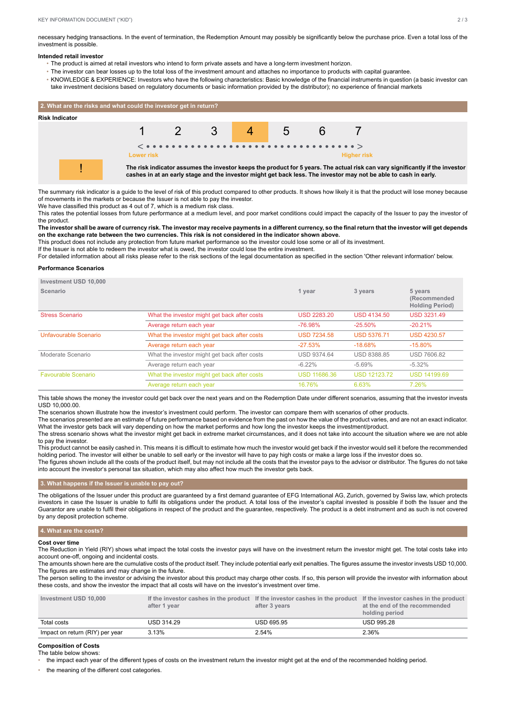necessary hedging transactions. In the event of termination, the Redemption Amount may possibly be significantly below the purchase price. Even a total loss of the investment is possible.

#### **Intended retail investor**

- The product is aimed at retail investors who intend to form private assets and have a long-term investment horizon.
- The investor can bear losses up to the total loss of the investment amount and attaches no importance to products with capital guarantee.
- KNOWLEDGE & EXPERIENCE: Investors who have the following characteristics: Basic knowledge of the financial instruments in question (a basic investor can take investment decisions based on regulatory documents or basic information provided by the distributor); no experience of financial markets



The summary risk indicator is a guide to the level of risk of this product compared to other products. It shows how likely it is that the product will lose money because of movements in the markets or because the Issuer is not able to pay the investor.

We have classified this product as 4 out of 7, which is a medium risk class.

This rates the potential losses from future performance at a medium level, and poor market conditions could impact the capacity of the Issuer to pay the investor of the product.

The investor shall be aware of currency risk. The investor may receive payments in a different currency, so the final return that the investor will get depends on the exchange rate between the two currencies. This risk is not considered in the indicator shown above.

This product does not include any protection from future market performance so the investor could lose some or all of its investment.

If the Issuer is not able to redeem the investor what is owed, the investor could lose the entire investment.

For detailed information about all risks please refer to the risk sections of the legal documentation as specified in the section 'Other relevant information' below.

#### **Performance Scenarios**

| <b>Investment USD 10.000</b> |                                              |                     |                     |                                                    |
|------------------------------|----------------------------------------------|---------------------|---------------------|----------------------------------------------------|
| Scenario                     |                                              | 1 year              | 3 years             | 5 years<br>(Recommended)<br><b>Holding Period)</b> |
| <b>Stress Scenario</b>       | What the investor might get back after costs | <b>USD 2283.20</b>  | <b>USD 4134.50</b>  | <b>USD 3231.49</b>                                 |
|                              | Average return each year                     | $-76.98%$           | $-25.50%$           | $-20.21%$                                          |
| Unfavourable Scenario        | What the investor might get back after costs | <b>USD 7234.58</b>  | <b>USD 5376.71</b>  | <b>USD 4230.57</b>                                 |
|                              | Average return each year                     | $-27.53%$           | $-18.68%$           | $-15.80\%$                                         |
| Moderate Scenario            | What the investor might get back after costs | <b>USD 9374.64</b>  | <b>USD 8388.85</b>  | <b>USD 7606.82</b>                                 |
|                              | Average return each year                     | $-6.22%$            | $-5.69%$            | $-5.32%$                                           |
| <b>Favourable Scenario</b>   | What the investor might get back after costs | <b>USD 11686.36</b> | <b>USD 12123.72</b> | <b>USD 14199.69</b>                                |
|                              | Average return each year                     | 16.76%              | 6.63%               | 7.26%                                              |

This table shows the money the investor could get back over the next years and on the Redemption Date under different scenarios, assuming that the investor invests USD 10,000.00.

The scenarios shown illustrate how the investor's investment could perform. The investor can compare them with scenarios of other products.

The scenarios presented are an estimate of future performance based on evidence from the past on how the value of the product varies, and are not an exact indicator. What the investor gets back will vary depending on how the market performs and how long the investor keeps the investment/product.

The stress scenario shows what the investor might get back in extreme market circumstances, and it does not take into account the situation where we are not able to pay the investor.

This product cannot be easily cashed in. This means it is difficult to estimate how much the investor would get back if the investor would sell it before the recommended holding period. The investor will either be unable to sell early or the investor will have to pay high costs or make a large loss if the investor does so.

The figures shown include all the costs of the product itself, but may not include all the costs that the investor pays to the advisor or distributor. The figures do not take into account the investor's personal tax situation, which may also affect how much the investor gets back.

#### **3. What happens if the Issuer is unable to pay out?**

The obligations of the Issuer under this product are guaranteed by a first demand guarantee of EFG International AG, Zurich, governed by Swiss law, which protects investors in case the Issuer is unable to fulfil its obligations under the product. A total loss of the investor's capital invested is possible if both the Issuer and the Guarantor are unable to fulfil their obligations in respect of the product and the guarantee, respectively. The product is a debt instrument and as such is not covered by any deposit protection scheme.

#### **4. What are the costs?**

#### **Cost over time**

The Reduction in Yield (RIY) shows what impact the total costs the investor pays will have on the investment return the investor might get. The total costs take into account one-off, ongoing and incidental costs.

The amounts shown here are the cumulative costs of the product itself. They include potential early exit penalties. The figures assume the investor invests USD 10,000. The figures are estimates and may change in the future.

The person selling to the investor or advising the investor about this product may charge other costs. If so, this person will provide the investor with information about these costs, and show the investor the impact that all costs will have on the investor's investment over time.

| Investment USD 10.000           | after 1 vear      | If the investor cashes in the product If the investor cashes in the product If the investor cashes in the product<br>after 3 vears | at the end of the recommended<br>holding period |
|---------------------------------|-------------------|------------------------------------------------------------------------------------------------------------------------------------|-------------------------------------------------|
| Total costs                     | <b>USD 314.29</b> | <b>USD 695.95</b>                                                                                                                  | <b>USD 995.28</b>                               |
| Impact on return (RIY) per year | 3.13%             | 2.54%                                                                                                                              | 2.36%                                           |

#### **Composition of Costs** The table below shows:

• the impact each year of the different types of costs on the investment return the investor might get at the end of the recommended holding period.

the meaning of the different cost categories.